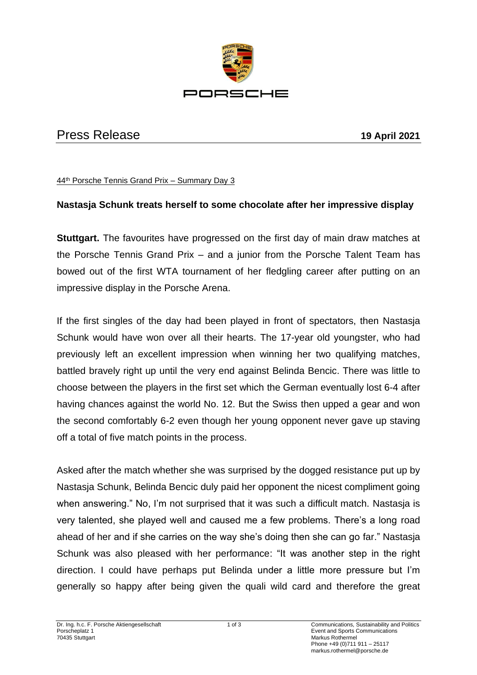

## Press Release **19 April 2021**

44th Porsche Tennis Grand Prix – Summary Day 3

## **Nastasja Schunk treats herself to some chocolate after her impressive display**

**Stuttgart.** The favourites have progressed on the first day of main draw matches at the Porsche Tennis Grand Prix – and a junior from the Porsche Talent Team has bowed out of the first WTA tournament of her fledgling career after putting on an impressive display in the Porsche Arena.

If the first singles of the day had been played in front of spectators, then Nastasja Schunk would have won over all their hearts. The 17-year old youngster, who had previously left an excellent impression when winning her two qualifying matches, battled bravely right up until the very end against Belinda Bencic. There was little to choose between the players in the first set which the German eventually lost 6-4 after having chances against the world No. 12. But the Swiss then upped a gear and won the second comfortably 6-2 even though her young opponent never gave up staving off a total of five match points in the process.

Asked after the match whether she was surprised by the dogged resistance put up by Nastasja Schunk, Belinda Bencic duly paid her opponent the nicest compliment going when answering." No, I'm not surprised that it was such a difficult match. Nastasja is very talented, she played well and caused me a few problems. There's a long road ahead of her and if she carries on the way she's doing then she can go far." Nastasja Schunk was also pleased with her performance: "It was another step in the right direction. I could have perhaps put Belinda under a little more pressure but I'm generally so happy after being given the quali wild card and therefore the great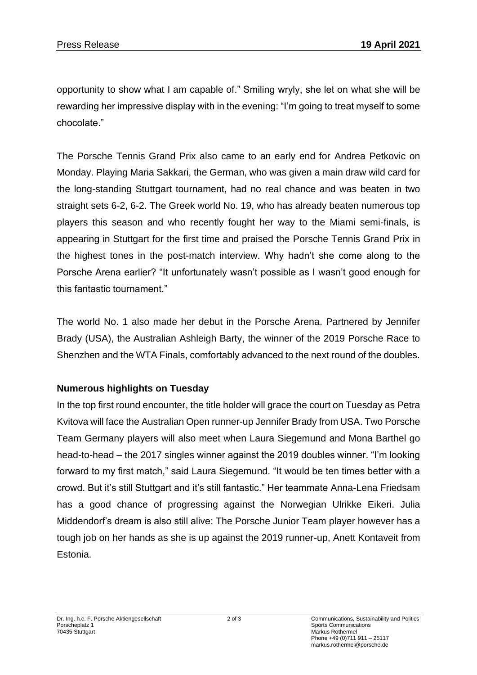opportunity to show what I am capable of." Smiling wryly, she let on what she will be rewarding her impressive display with in the evening: "I'm going to treat myself to some chocolate."

The Porsche Tennis Grand Prix also came to an early end for Andrea Petkovic on Monday. Playing Maria Sakkari, the German, who was given a main draw wild card for the long-standing Stuttgart tournament, had no real chance and was beaten in two straight sets 6-2, 6-2. The Greek world No. 19, who has already beaten numerous top players this season and who recently fought her way to the Miami semi-finals, is appearing in Stuttgart for the first time and praised the Porsche Tennis Grand Prix in the highest tones in the post-match interview. Why hadn't she come along to the Porsche Arena earlier? "It unfortunately wasn't possible as I wasn't good enough for this fantastic tournament."

The world No. 1 also made her debut in the Porsche Arena. Partnered by Jennifer Brady (USA), the Australian Ashleigh Barty, the winner of the 2019 Porsche Race to Shenzhen and the WTA Finals, comfortably advanced to the next round of the doubles.

## **Numerous highlights on Tuesday**

In the top first round encounter, the title holder will grace the court on Tuesday as Petra Kvitova will face the Australian Open runner-up Jennifer Brady from USA. Two Porsche Team Germany players will also meet when Laura Siegemund and Mona Barthel go head-to-head – the 2017 singles winner against the 2019 doubles winner. "I'm looking forward to my first match," said Laura Siegemund. "It would be ten times better with a crowd. But it's still Stuttgart and it's still fantastic." Her teammate Anna-Lena Friedsam has a good chance of progressing against the Norwegian Ulrikke Eikeri. Julia Middendorf's dream is also still alive: The Porsche Junior Team player however has a tough job on her hands as she is up against the 2019 runner-up, Anett Kontaveit from Estonia.